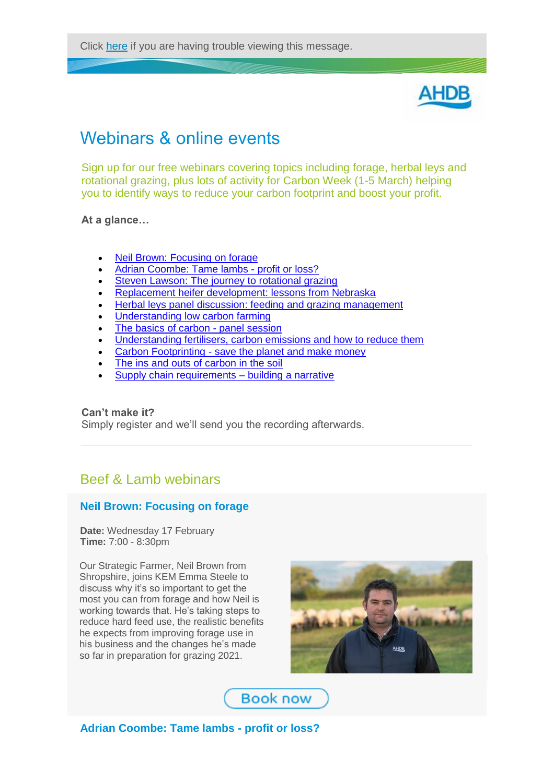Click [here](http://link.ahdb.org.uk/m/1/45178595/p1-b21048-ec0c3c0721d247feaacf111c70f80bee/2/495/3e999e0b-99f4-4a0b-be5b-3281dfe67daf) if you are having trouble viewing this message.



# Webinars & online events

Sign up for our free webinars covering topics including forage, herbal leys and rotational grazing, plus lots of activity for Carbon Week (1-5 March) helping you to identify ways to reduce your carbon footprint and boost your profit.

## **At a glance…**

- [Neil Brown: Focusing on forage](http://link.ahdb.org.uk/c/6/?T=NDUxNzg1OTU%3AcDEtYjIxMDQ4LWVjMGMzYzA3MjFkMjQ3ZmVhYWNmMTExYzcwZjgwYmVl%3Aa2F0ZUB0aGVmYXJtZXJuZXR3b3JrLmNvLnVr%3AY29udGFjdC05NzRlNWM2N2E0MTdlYjExYTgxMzAwMGQzYTg2ZDU0NS1kZjc4ZGU4YTVhMDM0MzBjYWU2ZTJmYjVhZGRkZWMyOQ%3AZmFsc2U%3AMg%3A%3AaHR0cHM6Ly9yZWdpc3Rlci5nb3Rvd2ViaW5hci5jb20vcmVnaXN0ZXIvMjk4NDI0OTc5MTY3NzU1OTU2ND9zb3VyY2U9RU1BSUwmX2NsZGVlPWEyRjBaVUIwYUdWbVlYSnRaWEp1WlhSM2IzSnJMbU52TG5WciZyZWNpcGllbnRpZD1jb250YWN0LTk3NGU1YzY3YTQxN2ViMTFhODEzMDAwZDNhODZkNTQ1LWRmNzhkZThhNWEwMzQzMGNhZTZlMmZiNWFkZGRlYzI5JmVzaWQ9ODA5ZDhmZDQtZmQ3MC1lYjExLWE4MTItMDAyMjQ4MWE2YzIx&K=ukny3ER8zPSiLtQO33ZEDQ)
- [Adrian Coombe: Tame lambs -](http://link.ahdb.org.uk/c/6/?T=NDUxNzg1OTU%3AcDEtYjIxMDQ4LWVjMGMzYzA3MjFkMjQ3ZmVhYWNmMTExYzcwZjgwYmVl%3Aa2F0ZUB0aGVmYXJtZXJuZXR3b3JrLmNvLnVr%3AY29udGFjdC05NzRlNWM2N2E0MTdlYjExYTgxMzAwMGQzYTg2ZDU0NS1kZjc4ZGU4YTVhMDM0MzBjYWU2ZTJmYjVhZGRkZWMyOQ%3AZmFsc2U%3AMw%3A%3AaHR0cHM6Ly9yZWdpc3Rlci5nb3Rvd2ViaW5hci5jb20vcmVnaXN0ZXIvMzA0MDE1NjY1OTQxNTE1MzE2ND9zb3VyY2U9RU1BSUxodHRwczovL3JlZ2lzdGVyLmdvdG93ZWJpbmFyLmNvbS9yZWdpc3Rlci8zMDQwMTU2NjU5NDE1MTUzMTY0P3NvdXJjZT1FTUFJTCZfY2xkZWU9YTJGMFpVQjBhR1ZtWVhKdFpYSnVaWFIzYjNKckxtTnZMblZyJnJlY2lwaWVudGlkPWNvbnRhY3QtOTc0ZTVjNjdhNDE3ZWIxMWE4MTMwMDBkM2E4NmQ1NDUtZGY3OGRlOGE1YTAzNDMwY2FlNmUyZmI1YWRkZGVjMjkmZXNpZD04MDlkOGZkNC1mZDcwLWViMTEtYTgxMi0wMDIyNDgxYTZjMjE&K=zj7aFuM97xwkV7QTEECZkw) profit or loss?
- [Steven Lawson: The journey to rotational grazing](http://link.ahdb.org.uk/c/6/?T=NDUxNzg1OTU%3AcDEtYjIxMDQ4LWVjMGMzYzA3MjFkMjQ3ZmVhYWNmMTExYzcwZjgwYmVl%3Aa2F0ZUB0aGVmYXJtZXJuZXR3b3JrLmNvLnVr%3AY29udGFjdC05NzRlNWM2N2E0MTdlYjExYTgxMzAwMGQzYTg2ZDU0NS1kZjc4ZGU4YTVhMDM0MzBjYWU2ZTJmYjVhZGRkZWMyOQ%3AZmFsc2U%3ANA%3A%3AaHR0cHM6Ly9yZWdpc3Rlci5nb3Rvd2ViaW5hci5jb20vcmVnaXN0ZXIvODc3MDEyNjI2NzYzOTU5NjU1Nj9zb3VyY2U9ZW1haWwmX2NsZGVlPWEyRjBaVUIwYUdWbVlYSnRaWEp1WlhSM2IzSnJMbU52TG5WciZyZWNpcGllbnRpZD1jb250YWN0LTk3NGU1YzY3YTQxN2ViMTFhODEzMDAwZDNhODZkNTQ1LWRmNzhkZThhNWEwMzQzMGNhZTZlMmZiNWFkZGRlYzI5JmVzaWQ9ODA5ZDhmZDQtZmQ3MC1lYjExLWE4MTItMDAyMjQ4MWE2YzIx&K=hO71pLUAPlzG185aBCqa6w)
- [Replacement heifer development: lessons from Nebraska](http://link.ahdb.org.uk/c/6/?T=NDUxNzg1OTU%3AcDEtYjIxMDQ4LWVjMGMzYzA3MjFkMjQ3ZmVhYWNmMTExYzcwZjgwYmVl%3Aa2F0ZUB0aGVmYXJtZXJuZXR3b3JrLmNvLnVr%3AY29udGFjdC05NzRlNWM2N2E0MTdlYjExYTgxMzAwMGQzYTg2ZDU0NS1kZjc4ZGU4YTVhMDM0MzBjYWU2ZTJmYjVhZGRkZWMyOQ%3AZmFsc2U%3ANQ%3A%3AaHR0cHM6Ly9yZWdpc3Rlci5nb3Rvd2ViaW5hci5jb20vcmVnaXN0ZXIvNTg0MDA3MTgxNjY3ODcxMjMzNT9zb3VyY2U9RU1BSUwmX2NsZGVlPWEyRjBaVUIwYUdWbVlYSnRaWEp1WlhSM2IzSnJMbU52TG5WciZyZWNpcGllbnRpZD1jb250YWN0LTk3NGU1YzY3YTQxN2ViMTFhODEzMDAwZDNhODZkNTQ1LWRmNzhkZThhNWEwMzQzMGNhZTZlMmZiNWFkZGRlYzI5JmVzaWQ9ODA5ZDhmZDQtZmQ3MC1lYjExLWE4MTItMDAyMjQ4MWE2YzIx&K=1ALYE2zgpo5Gvoef4dEDvQ)
- [Herbal leys panel discussion: feeding and grazing management](http://link.ahdb.org.uk/c/6/?T=NDUxNzg1OTU%3AcDEtYjIxMDQ4LWVjMGMzYzA3MjFkMjQ3ZmVhYWNmMTExYzcwZjgwYmVl%3Aa2F0ZUB0aGVmYXJtZXJuZXR3b3JrLmNvLnVr%3AY29udGFjdC05NzRlNWM2N2E0MTdlYjExYTgxMzAwMGQzYTg2ZDU0NS1kZjc4ZGU4YTVhMDM0MzBjYWU2ZTJmYjVhZGRkZWMyOQ%3AZmFsc2U%3ANg%3A%3AaHR0cHM6Ly9yZWdpc3Rlci5nb3Rvd2ViaW5hci5jb20vcmVnaXN0ZXIvNjA1MjI3MzE2MTc1MjMyNzY5ND9zb3VyY2U9RW1haWwmX2NsZGVlPWEyRjBaVUIwYUdWbVlYSnRaWEp1WlhSM2IzSnJMbU52TG5WciZyZWNpcGllbnRpZD1jb250YWN0LTk3NGU1YzY3YTQxN2ViMTFhODEzMDAwZDNhODZkNTQ1LWRmNzhkZThhNWEwMzQzMGNhZTZlMmZiNWFkZGRlYzI5JmVzaWQ9ODA5ZDhmZDQtZmQ3MC1lYjExLWE4MTItMDAyMjQ4MWE2YzIx&K=c8iCAHY3NqXwWXnhuGJeqg)
- [Understanding low carbon farming](http://link.ahdb.org.uk/c/6/?T=NDUxNzg1OTU%3AcDEtYjIxMDQ4LWVjMGMzYzA3MjFkMjQ3ZmVhYWNmMTExYzcwZjgwYmVl%3Aa2F0ZUB0aGVmYXJtZXJuZXR3b3JrLmNvLnVr%3AY29udGFjdC05NzRlNWM2N2E0MTdlYjExYTgxMzAwMGQzYTg2ZDU0NS1kZjc4ZGU4YTVhMDM0MzBjYWU2ZTJmYjVhZGRkZWMyOQ%3AZmFsc2U%3ANw%3A%3AaHR0cHM6Ly9yZWdpc3Rlci5nb3Rvd2ViaW5hci5jb20vcmVnaXN0ZXIvMjM5NzAxNDkyNTk1MzkxMjA3OT9zb3VyY2U9RW1haWwmX2NsZGVlPWEyRjBaVUIwYUdWbVlYSnRaWEp1WlhSM2IzSnJMbU52TG5WciZyZWNpcGllbnRpZD1jb250YWN0LTk3NGU1YzY3YTQxN2ViMTFhODEzMDAwZDNhODZkNTQ1LWRmNzhkZThhNWEwMzQzMGNhZTZlMmZiNWFkZGRlYzI5JmVzaWQ9ODA5ZDhmZDQtZmQ3MC1lYjExLWE4MTItMDAyMjQ4MWE2YzIx&K=2B1UzECp9LIvAWxt9iPivw)
- [The basics of carbon -](http://link.ahdb.org.uk/c/6/?T=NDUxNzg1OTU%3AcDEtYjIxMDQ4LWVjMGMzYzA3MjFkMjQ3ZmVhYWNmMTExYzcwZjgwYmVl%3Aa2F0ZUB0aGVmYXJtZXJuZXR3b3JrLmNvLnVr%3AY29udGFjdC05NzRlNWM2N2E0MTdlYjExYTgxMzAwMGQzYTg2ZDU0NS1kZjc4ZGU4YTVhMDM0MzBjYWU2ZTJmYjVhZGRkZWMyOQ%3AZmFsc2U%3AOA%3A%3AaHR0cHM6Ly9yZWdpc3Rlci5nb3Rvd2ViaW5hci5jb20vcmVnaXN0ZXIvMzU0NjE3NzE5NzIzMTkxMjQ2Mj9zb3VyY2U9RW1haWwmX2NsZGVlPWEyRjBaVUIwYUdWbVlYSnRaWEp1WlhSM2IzSnJMbU52TG5WciZyZWNpcGllbnRpZD1jb250YWN0LTk3NGU1YzY3YTQxN2ViMTFhODEzMDAwZDNhODZkNTQ1LWRmNzhkZThhNWEwMzQzMGNhZTZlMmZiNWFkZGRlYzI5JmVzaWQ9ODA5ZDhmZDQtZmQ3MC1lYjExLWE4MTItMDAyMjQ4MWE2YzIx&K=WaWanHSVT21ZfiVffYstZQ) panel session
- [Understanding fertilisers, carbon emissions and how to reduce them](http://link.ahdb.org.uk/c/6/?T=NDUxNzg1OTU%3AcDEtYjIxMDQ4LWVjMGMzYzA3MjFkMjQ3ZmVhYWNmMTExYzcwZjgwYmVl%3Aa2F0ZUB0aGVmYXJtZXJuZXR3b3JrLmNvLnVr%3AY29udGFjdC05NzRlNWM2N2E0MTdlYjExYTgxMzAwMGQzYTg2ZDU0NS1kZjc4ZGU4YTVhMDM0MzBjYWU2ZTJmYjVhZGRkZWMyOQ%3AZmFsc2U%3AOQ%3A%3AaHR0cHM6Ly9yZWdpc3Rlci5nb3Rvd2ViaW5hci5jb20vcmVnaXN0ZXIvNDA2MjM5NzkwOTU0NjMzMzk2Nz9zb3VyY2U9RW1haWwmX2NsZGVlPWEyRjBaVUIwYUdWbVlYSnRaWEp1WlhSM2IzSnJMbU52TG5WciZyZWNpcGllbnRpZD1jb250YWN0LTk3NGU1YzY3YTQxN2ViMTFhODEzMDAwZDNhODZkNTQ1LWRmNzhkZThhNWEwMzQzMGNhZTZlMmZiNWFkZGRlYzI5JmVzaWQ9ODA5ZDhmZDQtZmQ3MC1lYjExLWE4MTItMDAyMjQ4MWE2YzIx&K=GLq4r5I8uwgH2bqjInHFZw)
- Carbon Footprinting [save the planet and make money](http://link.ahdb.org.uk/c/6/?T=NDUxNzg1OTU%3AcDEtYjIxMDQ4LWVjMGMzYzA3MjFkMjQ3ZmVhYWNmMTExYzcwZjgwYmVl%3Aa2F0ZUB0aGVmYXJtZXJuZXR3b3JrLmNvLnVr%3AY29udGFjdC05NzRlNWM2N2E0MTdlYjExYTgxMzAwMGQzYTg2ZDU0NS1kZjc4ZGU4YTVhMDM0MzBjYWU2ZTJmYjVhZGRkZWMyOQ%3AZmFsc2U%3AMTA%3A%3AaHR0cHM6Ly9yZWdpc3Rlci5nb3Rvd2ViaW5hci5jb20vcmVnaXN0ZXIvNTk1NDM3NjM2MDUyMzg2MzE5P3NvdXJjZT1FbWFpbCZfY2xkZWU9YTJGMFpVQjBhR1ZtWVhKdFpYSnVaWFIzYjNKckxtTnZMblZyJnJlY2lwaWVudGlkPWNvbnRhY3QtOTc0ZTVjNjdhNDE3ZWIxMWE4MTMwMDBkM2E4NmQ1NDUtZGY3OGRlOGE1YTAzNDMwY2FlNmUyZmI1YWRkZGVjMjkmZXNpZD04MDlkOGZkNC1mZDcwLWViMTEtYTgxMi0wMDIyNDgxYTZjMjE&K=U7hiCN4LPoqLv03r160S-Q)
- [The ins and outs of carbon in the soil](http://link.ahdb.org.uk/c/6/?T=NDUxNzg1OTU%3AcDEtYjIxMDQ4LWVjMGMzYzA3MjFkMjQ3ZmVhYWNmMTExYzcwZjgwYmVl%3Aa2F0ZUB0aGVmYXJtZXJuZXR3b3JrLmNvLnVr%3AY29udGFjdC05NzRlNWM2N2E0MTdlYjExYTgxMzAwMGQzYTg2ZDU0NS1kZjc4ZGU4YTVhMDM0MzBjYWU2ZTJmYjVhZGRkZWMyOQ%3AZmFsc2U%3AMTE%3A%3AaHR0cHM6Ly9yZWdpc3Rlci5nb3Rvd2ViaW5hci5jb20vcmVnaXN0ZXIvMzM0ODM1NTI2NzI1OTM2OTc0Mz9zb3VyY2U9RW1haWwmX2NsZGVlPWEyRjBaVUIwYUdWbVlYSnRaWEp1WlhSM2IzSnJMbU52TG5WciZyZWNpcGllbnRpZD1jb250YWN0LTk3NGU1YzY3YTQxN2ViMTFhODEzMDAwZDNhODZkNTQ1LWRmNzhkZThhNWEwMzQzMGNhZTZlMmZiNWFkZGRlYzI5JmVzaWQ9ODA5ZDhmZDQtZmQ3MC1lYjExLWE4MTItMDAyMjQ4MWE2YzIx&K=EwVaNH4xvRY5bJ6DpZRLZQ)
- [Supply chain requirements –](http://link.ahdb.org.uk/c/6/?T=NDUxNzg1OTU%3AcDEtYjIxMDQ4LWVjMGMzYzA3MjFkMjQ3ZmVhYWNmMTExYzcwZjgwYmVl%3Aa2F0ZUB0aGVmYXJtZXJuZXR3b3JrLmNvLnVr%3AY29udGFjdC05NzRlNWM2N2E0MTdlYjExYTgxMzAwMGQzYTg2ZDU0NS1kZjc4ZGU4YTVhMDM0MzBjYWU2ZTJmYjVhZGRkZWMyOQ%3AZmFsc2U%3AMTI%3A%3AaHR0cHM6Ly9yZWdpc3Rlci5nb3Rvd2ViaW5hci5jb20vcmVnaXN0ZXIvMTkyOTcyMTM4NDYzNzc0NDkxMT9zb3VyY2U9RW1haWwmX2NsZGVlPWEyRjBaVUIwYUdWbVlYSnRaWEp1WlhSM2IzSnJMbU52TG5WciZyZWNpcGllbnRpZD1jb250YWN0LTk3NGU1YzY3YTQxN2ViMTFhODEzMDAwZDNhODZkNTQ1LWRmNzhkZThhNWEwMzQzMGNhZTZlMmZiNWFkZGRlYzI5JmVzaWQ9ODA5ZDhmZDQtZmQ3MC1lYjExLWE4MTItMDAyMjQ4MWE2YzIx&K=R3Xb7Awi04SLdOLpVcI6eQ) building a narrative

#### **Can't make it?**

Simply register and we'll send you the recording afterwards.

# Beef & Lamb webinars

### **Neil Brown: Focusing on forage**

**Date:** Wednesday 17 February **Time:** 7:00 - 8:30pm

Our Strategic Farmer, Neil Brown from Shropshire, joins KEM Emma Steele to discuss why it's so important to get the most you can from forage and how Neil is working towards that. He's taking steps to reduce hard feed use, the realistic benefits he expects from improving forage use in his business and the changes he's made so far in preparation for grazing 2021.



**Book now** 

**Adrian Coombe: Tame lambs - profit or loss?**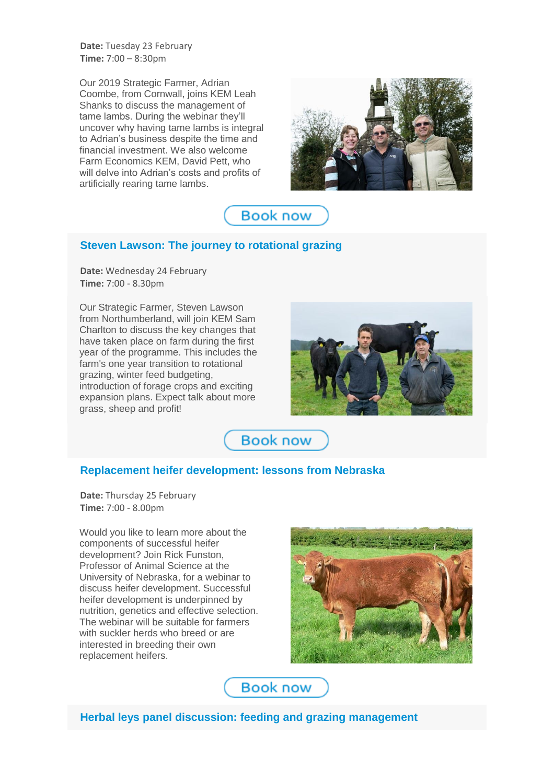**Date:** Tuesday 23 February **Time:** 7:00 – 8:30pm

Our 2019 Strategic Farmer, Adrian Coombe, from Cornwall, joins KEM Leah Shanks to discuss the management of tame lambs. During the webinar they'll uncover why having tame lambs is integral to Adrian's business despite the time and financial investment. We also welcome Farm Economics KEM, David Pett, who will delve into Adrian's costs and profits of artificially rearing tame lambs.





## **Steven Lawson: The journey to rotational grazing**

**Date:** Wednesday 24 February **Time:** 7:00 - 8.30pm

Our Strategic Farmer, Steven Lawson from Northumberland, will join KEM Sam Charlton to discuss the key changes that have taken place on farm during the first year of the programme. This includes the farm's one year transition to rotational grazing, winter feed budgeting, introduction of forage crops and exciting expansion plans. Expect talk about more grass, sheep and profit!



**Book now** 

#### **Replacement heifer development: lessons from Nebraska**

**Date:** Thursday 25 February **Time:** 7:00 - 8.00pm

Would you like to learn more about the components of successful heifer development? Join Rick Funston, Professor of Animal Science at the University of Nebraska, for a webinar to discuss heifer development. Successful heifer development is underpinned by nutrition, genetics and effective selection. The webinar will be suitable for farmers with suckler herds who breed or are interested in breeding their own replacement heifers.



**Book now** 

**Herbal leys panel discussion: feeding and grazing management**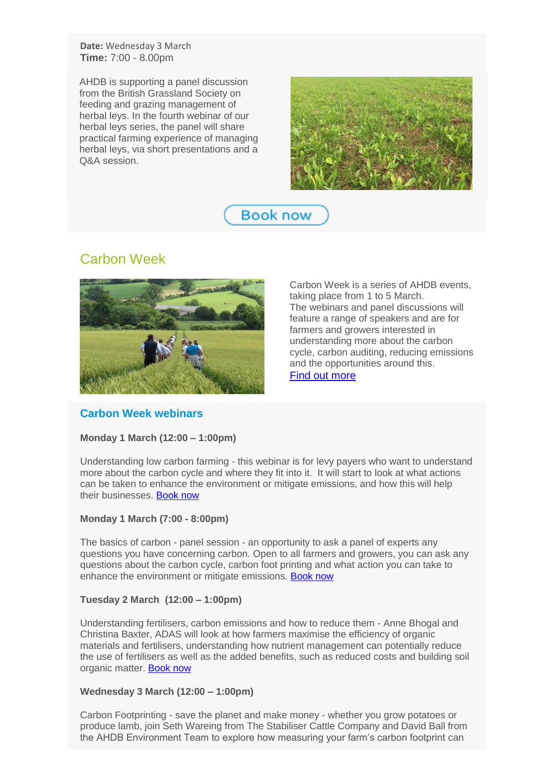**Date:** Wednesday 3 March **Time:** 7:00 - 8.00pm

AHDB is supporting a panel discussion from the British Grassland Society on feeding and grazing management of herbal leys. In the fourth webinar of our herbal leys series, the panel will share practical farming experience of managing herbal leys, via short presentations and a Q&A session.



**Book now** 

# Carbon Week



Carbon Week is a series of AHDB events, taking place from 1 to 5 March. The webinars and panel discussions will feature a range of speakers and are for farmers and growers interested in understanding more about the carbon cycle, carbon auditing, reducing emissions and the opportunities around this. [Find out more](http://link.ahdb.org.uk/c/6/?T=NDUxNzg1OTU%3AcDEtYjIxMDQ4LWVjMGMzYzA3MjFkMjQ3ZmVhYWNmMTExYzcwZjgwYmVl%3Aa2F0ZUB0aGVmYXJtZXJuZXR3b3JrLmNvLnVr%3AY29udGFjdC05NzRlNWM2N2E0MTdlYjExYTgxMzAwMGQzYTg2ZDU0NS1kZjc4ZGU4YTVhMDM0MzBjYWU2ZTJmYjVhZGRkZWMyOQ%3AZmFsc2U%3AMzM%3AUG9kY2FzdHNfMQ%3AaHR0cHM6Ly9haGRiLm9yZy51ay9jYXJib24td2Vlaz9fY2xkZWU9YTJGMFpVQjBhR1ZtWVhKdFpYSnVaWFIzYjNKckxtTnZMblZyJnJlY2lwaWVudGlkPWNvbnRhY3QtOTc0ZTVjNjdhNDE3ZWIxMWE4MTMwMDBkM2E4NmQ1NDUtZGY3OGRlOGE1YTAzNDMwY2FlNmUyZmI1YWRkZGVjMjkmZXNpZD04MDlkOGZkNC1mZDcwLWViMTEtYTgxMi0wMDIyNDgxYTZjMjE&K=RqPQR5hJLDlMFLBJJeO1Yg)

### **Carbon Week webinars**

#### **Monday 1 March (12:00 – 1:00pm)**

Understanding low carbon farming - this webinar is for levy payers who want to understand more about the carbon cycle and where they fit into it. It will start to look at what actions can be taken to enhance the environment or mitigate emissions, and how this will help their businesses. [Book now](http://link.ahdb.org.uk/c/6/?T=NDUxNzg1OTU%3AcDEtYjIxMDQ4LWVjMGMzYzA3MjFkMjQ3ZmVhYWNmMTExYzcwZjgwYmVl%3Aa2F0ZUB0aGVmYXJtZXJuZXR3b3JrLmNvLnVr%3AY29udGFjdC05NzRlNWM2N2E0MTdlYjExYTgxMzAwMGQzYTg2ZDU0NS1kZjc4ZGU4YTVhMDM0MzBjYWU2ZTJmYjVhZGRkZWMyOQ%3AZmFsc2U%3AMzQ%3A%3AaHR0cHM6Ly9hdHRlbmRlZS5nb3Rvd2ViaW5hci5jb20vcmVnaXN0ZXIvMjM5NzAxNDkyNTk1MzkxMjA3OT9zb3VyY2U9RW1haWwmX2NsZGVlPWEyRjBaVUIwYUdWbVlYSnRaWEp1WlhSM2IzSnJMbU52TG5WciZyZWNpcGllbnRpZD1jb250YWN0LTk3NGU1YzY3YTQxN2ViMTFhODEzMDAwZDNhODZkNTQ1LWRmNzhkZThhNWEwMzQzMGNhZTZlMmZiNWFkZGRlYzI5JmVzaWQ9ODA5ZDhmZDQtZmQ3MC1lYjExLWE4MTItMDAyMjQ4MWE2YzIx&K=FlBN_heeQowBXalLIhqqmw)

#### **Monday 1 March (7:00 - 8:00pm)**

The basics of carbon - panel session - an opportunity to ask a panel of experts any questions you have concerning carbon. Open to all farmers and growers, you can ask any questions about the carbon cycle, carbon foot printing and what action you can take to enhance the environment or mitigate emissions. [Book now](http://link.ahdb.org.uk/c/6/?T=NDUxNzg1OTU%3AcDEtYjIxMDQ4LWVjMGMzYzA3MjFkMjQ3ZmVhYWNmMTExYzcwZjgwYmVl%3Aa2F0ZUB0aGVmYXJtZXJuZXR3b3JrLmNvLnVr%3AY29udGFjdC05NzRlNWM2N2E0MTdlYjExYTgxMzAwMGQzYTg2ZDU0NS1kZjc4ZGU4YTVhMDM0MzBjYWU2ZTJmYjVhZGRkZWMyOQ%3AZmFsc2U%3AMzU%3A%3AaHR0cHM6Ly9hdHRlbmRlZS5nb3Rvd2ViaW5hci5jb20vcmVnaXN0ZXIvMzU0NjE3NzE5NzIzMTkxMjQ2Mj9zb3VyY2U9RW1haWwmX2NsZGVlPWEyRjBaVUIwYUdWbVlYSnRaWEp1WlhSM2IzSnJMbU52TG5WciZyZWNpcGllbnRpZD1jb250YWN0LTk3NGU1YzY3YTQxN2ViMTFhODEzMDAwZDNhODZkNTQ1LWRmNzhkZThhNWEwMzQzMGNhZTZlMmZiNWFkZGRlYzI5JmVzaWQ9ODA5ZDhmZDQtZmQ3MC1lYjExLWE4MTItMDAyMjQ4MWE2YzIx&K=db7cuhE7U0onK8papMYNkw)

#### **Tuesday 2 March (12:00 – 1:00pm)**

Understanding fertilisers, carbon emissions and how to reduce them - Anne Bhogal and Christina Baxter, ADAS will look at how farmers maximise the efficiency of organic materials and fertilisers, understanding how nutrient management can potentially reduce the use of fertilisers as well as the added benefits, such as reduced costs and building soil organic matter. [Book now](http://link.ahdb.org.uk/c/6/?T=NDUxNzg1OTU%3AcDEtYjIxMDQ4LWVjMGMzYzA3MjFkMjQ3ZmVhYWNmMTExYzcwZjgwYmVl%3Aa2F0ZUB0aGVmYXJtZXJuZXR3b3JrLmNvLnVr%3AY29udGFjdC05NzRlNWM2N2E0MTdlYjExYTgxMzAwMGQzYTg2ZDU0NS1kZjc4ZGU4YTVhMDM0MzBjYWU2ZTJmYjVhZGRkZWMyOQ%3AZmFsc2U%3AMzY%3A%3AaHR0cHM6Ly9hdHRlbmRlZS5nb3Rvd2ViaW5hci5jb20vcmVnaXN0ZXIvNDA2MjM5NzkwOTU0NjMzMzk2Nz9zb3VyY2U9RW1haWwmX2NsZGVlPWEyRjBaVUIwYUdWbVlYSnRaWEp1WlhSM2IzSnJMbU52TG5WciZyZWNpcGllbnRpZD1jb250YWN0LTk3NGU1YzY3YTQxN2ViMTFhODEzMDAwZDNhODZkNTQ1LWRmNzhkZThhNWEwMzQzMGNhZTZlMmZiNWFkZGRlYzI5JmVzaWQ9ODA5ZDhmZDQtZmQ3MC1lYjExLWE4MTItMDAyMjQ4MWE2YzIx&K=EGGOU2TqbbzFwMwLFVC1zQ)

#### **Wednesday 3 March (12:00 – 1:00pm)**

Carbon Footprinting - save the planet and make money - whether you grow potatoes or produce lamb, join Seth Wareing from The Stabiliser Cattle Company and David Ball from the AHDB Environment Team to explore how measuring your farm's carbon footprint can